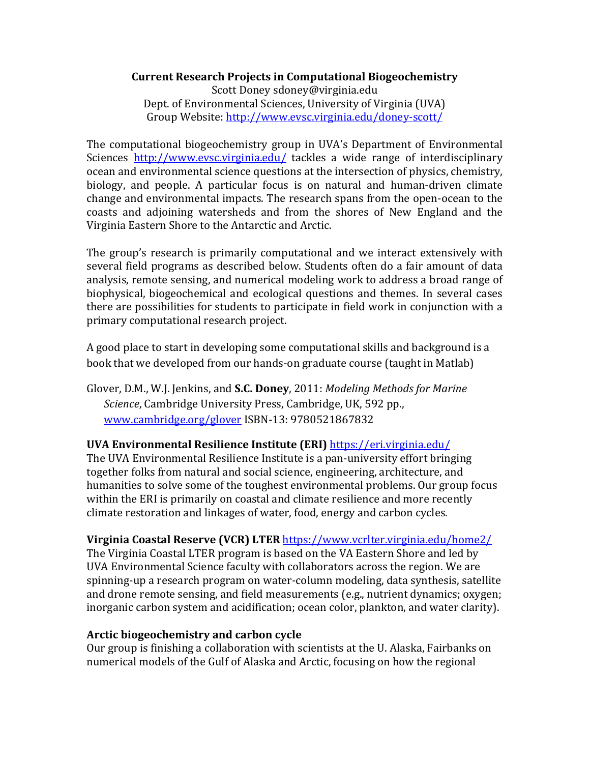# **Current Research Projects in Computational Biogeochemistry** Scott Doney sdoney@virginia.edu

Dept. of Environmental Sciences, University of Virginia (UVA) Group Website: http://www.evsc.virginia.edu/doney-scott/

The computational biogeochemistry group in UVA's Department of Environmental Sciences http://www.evsc.virginia.edu/ tackles a wide range of interdisciplinary ocean and environmental science questions at the intersection of physics, chemistry, biology, and people. A particular focus is on natural and human-driven climate change and environmental impacts. The research spans from the open-ocean to the coasts and adjoining watersheds and from the shores of New England and the Virginia Eastern Shore to the Antarctic and Arctic.

The group's research is primarily computational and we interact extensively with several field programs as described below. Students often do a fair amount of data analysis, remote sensing, and numerical modeling work to address a broad range of biophysical, biogeochemical and ecological questions and themes. In several cases there are possibilities for students to participate in field work in conjunction with a primary computational research project.

A good place to start in developing some computational skills and background is a book that we developed from our hands-on graduate course (taught in Matlab)

Glover, D.M., W.J. Jenkins, and **S.C. Doney**, 2011: *Modeling Methods for Marine Science*, Cambridge University Press, Cambridge, UK, 592 pp., www.cambridge.org/glover ISBN-13: 9780521867832

# **UVA Environmental Resilience Institute (ERI)** https://eri.virginia.edu/

The UVA Environmental Resilience Institute is a pan-university effort bringing together folks from natural and social science, engineering, architecture, and humanities to solve some of the toughest environmental problems. Our group focus within the ERI is primarily on coastal and climate resilience and more recently climate restoration and linkages of water, food, energy and carbon cycles.

## Virginia Coastal Reserve (VCR) LTER https://www.vcrlter.virginia.edu/home2/

The Virginia Coastal LTER program is based on the VA Eastern Shore and led by UVA Environmental Science faculty with collaborators across the region. We are spinning-up a research program on water-column modeling, data synthesis, satellite and drone remote sensing, and field measurements (e.g., nutrient dynamics; oxygen; inorganic carbon system and acidification; ocean color, plankton, and water clarity).

## Arctic biogeochemistry and carbon cycle

Our group is finishing a collaboration with scientists at the U. Alaska, Fairbanks on numerical models of the Gulf of Alaska and Arctic, focusing on how the regional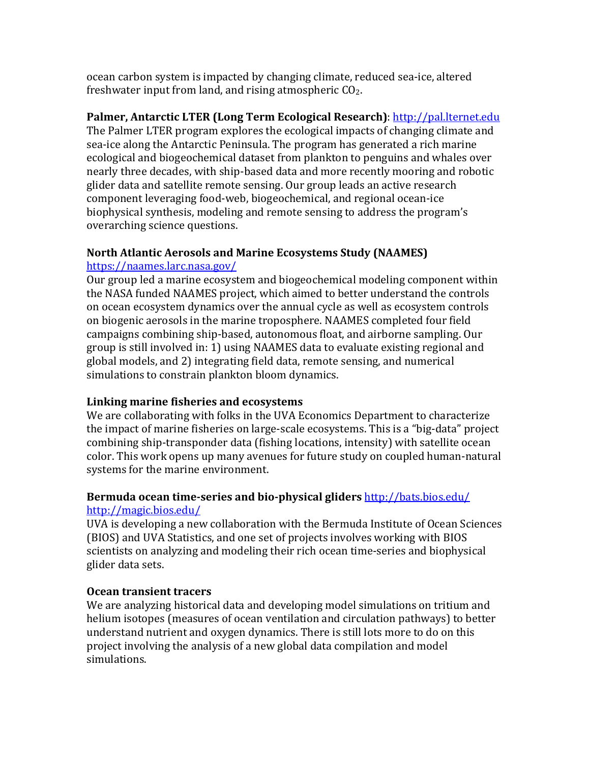ocean carbon system is impacted by changing climate, reduced sea-ice, altered freshwater input from land, and rising atmospheric  $CO<sub>2</sub>$ .

**Palmer, Antarctic LTER (Long Term Ecological Research)**: http://pal.lternet.edu The Palmer LTER program explores the ecological impacts of changing climate and sea-ice along the Antarctic Peninsula. The program has generated a rich marine ecological and biogeochemical dataset from plankton to penguins and whales over nearly three decades, with ship-based data and more recently mooring and robotic glider data and satellite remote sensing. Our group leads an active research component leveraging food-web, biogeochemical, and regional ocean-ice biophysical synthesis, modeling and remote sensing to address the program's overarching science questions.

#### **North Atlantic Aerosols and Marine Ecosystems Study (NAAMES)** https://naames.larc.nasa.gov/

Our group led a marine ecosystem and biogeochemical modeling component within the NASA funded NAAMES project, which aimed to better understand the controls on ocean ecosystem dynamics over the annual cycle as well as ecosystem controls on biogenic aerosols in the marine troposphere. NAAMES completed four field campaigns combining ship-based, autonomous float, and airborne sampling. Our group is still involved in: 1) using NAAMES data to evaluate existing regional and global models, and 2) integrating field data, remote sensing, and numerical simulations to constrain plankton bloom dynamics.

# Linking marine fisheries and ecosystems

We are collaborating with folks in the UVA Economics Department to characterize the impact of marine fisheries on large-scale ecosystems. This is a "big-data" project combining ship-transponder data (fishing locations, intensity) with satellite ocean color. This work opens up many avenues for future study on coupled human-natural systems for the marine environment.

## Bermuda ocean time-series and bio-physical gliders http://bats.bios.edu/ http://magic.bios.edu/

UVA is developing a new collaboration with the Bermuda Institute of Ocean Sciences (BIOS) and UVA Statistics, and one set of projects involves working with BIOS scientists on analyzing and modeling their rich ocean time-series and biophysical glider data sets.

## **Ocean transient tracers**

We are analyzing historical data and developing model simulations on tritium and helium isotopes (measures of ocean ventilation and circulation pathways) to better understand nutrient and oxygen dynamics. There is still lots more to do on this project involving the analysis of a new global data compilation and model simulations.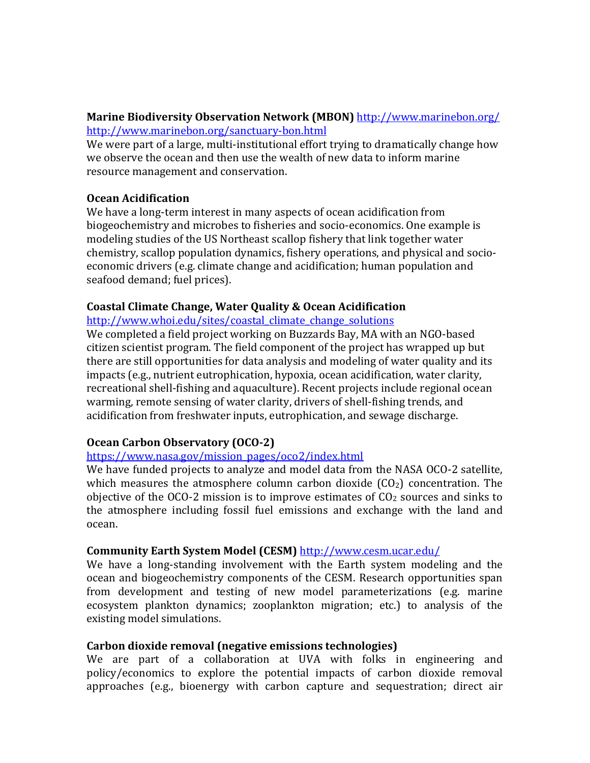#### **Marine Biodiversity Observation Network (MBON)** http://www.marinebon.org/ http://www.marinebon.org/sanctuary-bon.html

We were part of a large, multi-institutional effort trying to dramatically change how we observe the ocean and then use the wealth of new data to inform marine resource management and conservation.

## **Ocean Acidification**

We have a long-term interest in many aspects of ocean acidification from biogeochemistry and microbes to fisheries and socio-economics. One example is modeling studies of the US Northeast scallop fishery that link together water chemistry, scallop population dynamics, fishery operations, and physical and socioeconomic drivers (e.g. climate change and acidification; human population and seafood demand; fuel prices).

## **Coastal Climate Change, Water Quality & Ocean Acidification**

http://www.whoi.edu/sites/coastal\_climate\_change\_solutions

We completed a field project working on Buzzards Bay, MA with an NGO-based citizen scientist program. The field component of the project has wrapped up but there are still opportunities for data analysis and modeling of water quality and its impacts (e.g., nutrient eutrophication, hypoxia, ocean acidification, water clarity, recreational shell-fishing and aquaculture). Recent projects include regional ocean warming, remote sensing of water clarity, drivers of shell-fishing trends, and acidification from freshwater inputs, eutrophication, and sewage discharge.

# **Ocean Carbon Observatory (OCO-2)**

## https://www.nasa.gov/mission\_pages/oco2/index.html

We have funded projects to analyze and model data from the NASA OCO-2 satellite, which measures the atmosphere column carbon dioxide  $(CO<sub>2</sub>)$  concentration. The objective of the OCO-2 mission is to improve estimates of  $CO<sub>2</sub>$  sources and sinks to the atmosphere including fossil fuel emissions and exchange with the land and ocean.

## Community Earth System Model (CESM) http://www.cesm.ucar.edu/

We have a long-standing involvement with the Earth system modeling and the ocean and biogeochemistry components of the CESM. Research opportunities span from development and testing of new model parameterizations (e.g. marine ecosystem plankton dynamics; zooplankton migration; etc.) to analysis of the existing model simulations.

## **Carbon dioxide removal (negative emissions technologies)**

We are part of a collaboration at UVA with folks in engineering and policy/economics to explore the potential impacts of carbon dioxide removal approaches (e.g., bioenergy with carbon capture and sequestration; direct air